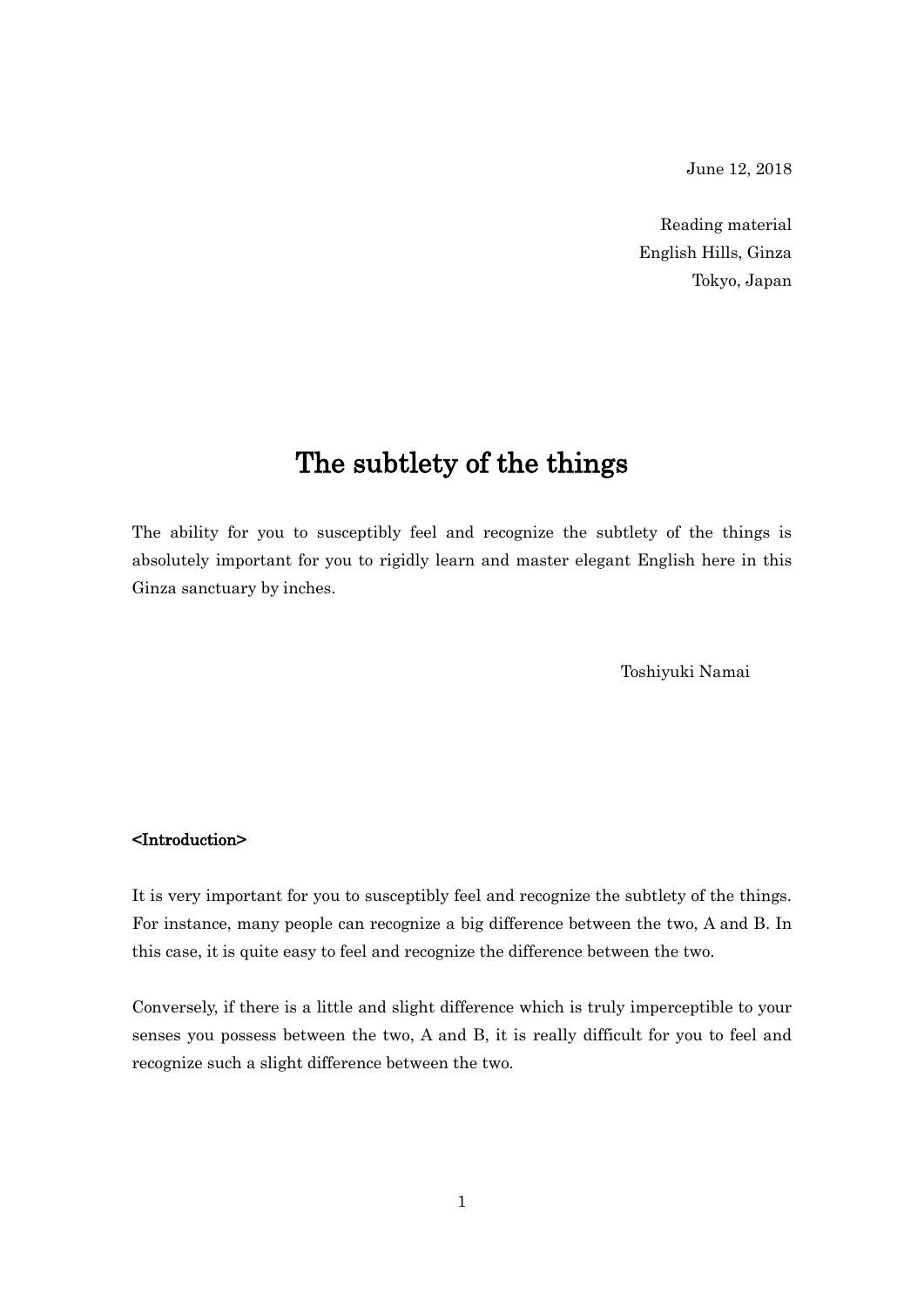June 12, 2018

Reading material English Hills, Ginza Tokyo, Japan

## The subtlety of the things

The ability for you to susceptibly feel and recognize the subtlety of the things is absolutely important for you to rigidly learn and master elegant English here in this Ginza sanctuary by inches.

Toshiyuki Namai

## <Introduction>

It is very important for you to susceptibly feel and recognize the subtlety of the things. For instance, many people can recognize a big difference between the two, A and B. In this case, it is quite easy to feel and recognize the difference between the two.

Conversely, if there is a little and slight difference which is truly imperceptible to your senses you possess between the two, A and B, it is really difficult for you to feel and recognize such a slight difference between the two.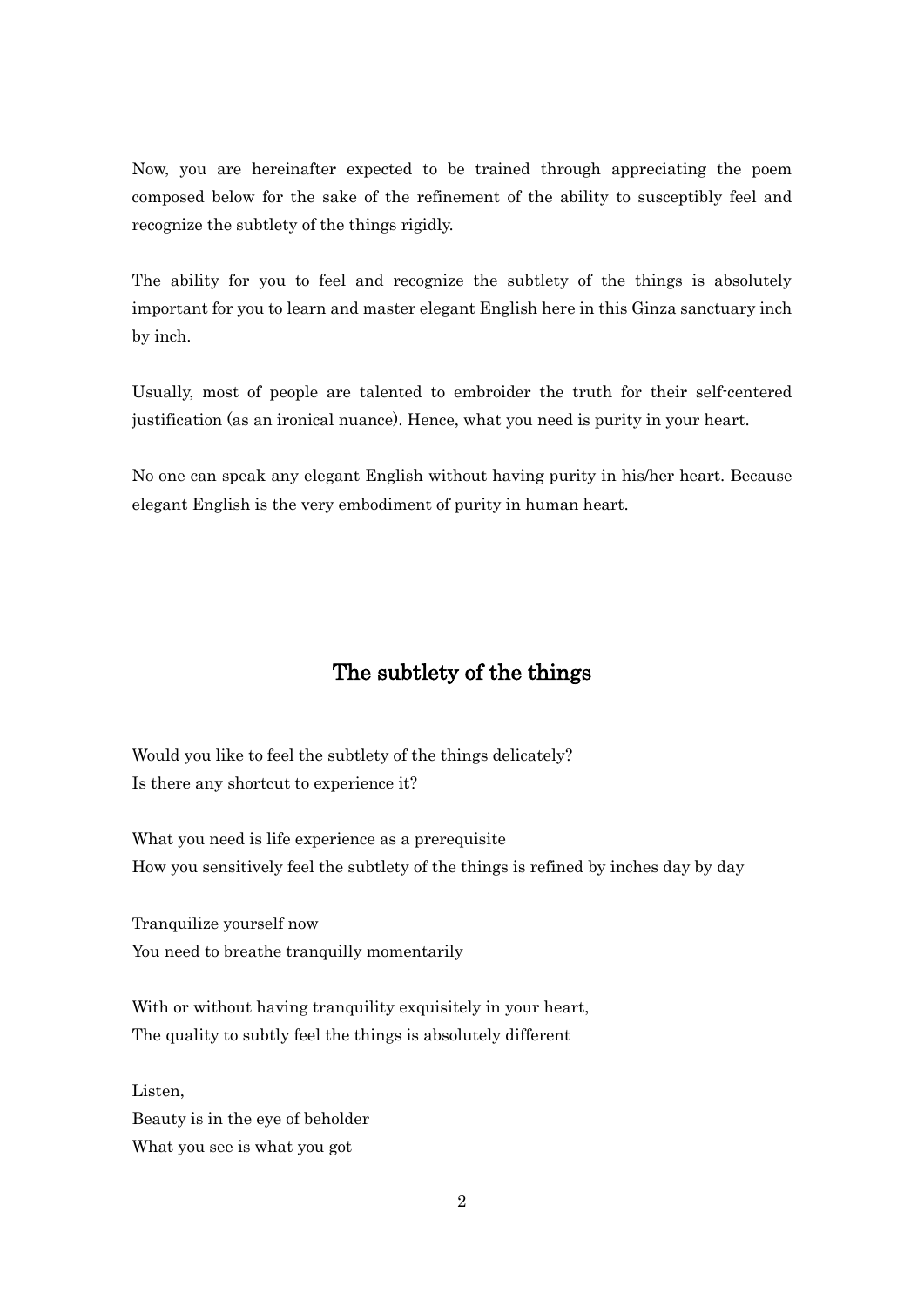Now, you are hereinafter expected to be trained through appreciating the poem composed below for the sake of the refinement of the ability to susceptibly feel and recognize the subtlety of the things rigidly.

The ability for you to feel and recognize the subtlety of the things is absolutely important for you to learn and master elegant English here in this Ginza sanctuary inch by inch.

Usually, most of people are talented to embroider the truth for their self-centered justification (as an ironical nuance). Hence, what you need is purity in your heart.

No one can speak any elegant English without having purity in his/her heart. Because elegant English is the very embodiment of purity in human heart.

## The subtlety of the things

Would you like to feel the subtlety of the things delicately? Is there any shortcut to experience it?

What you need is life experience as a prerequisite How you sensitively feel the subtlety of the things is refined by inches day by day

Tranquilize yourself now You need to breathe tranquilly momentarily

With or without having tranquility exquisitely in your heart, The quality to subtly feel the things is absolutely different

Listen, Beauty is in the eye of beholder What you see is what you got